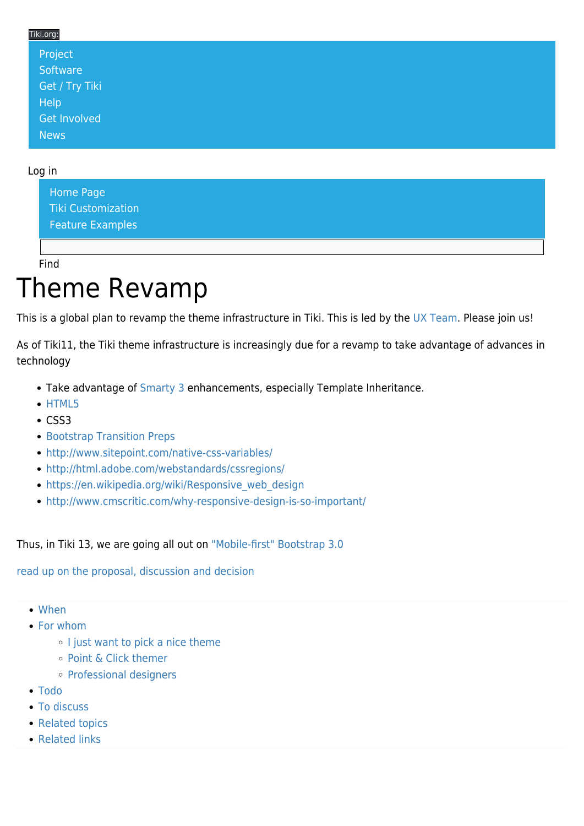### Tiki.org: [Project](https://tiki.org/Project Introduction) **[Software](https://tiki.org/Software Overview and Model)** [Get / Try Tiki](https://tiki.org/Get Tiki - Try Tiki) **[Help](https://tiki.org/Get Help)** [Get Involved](https://tiki.org/Get Involved) [News](https://tiki.org/News)

#### Log in

[Home Page](https://themes.tiki.org/Themes) [Tiki Customization](https://themes.tiki.org/Tiki-Customization) [Feature Examples](#page--1-0)

Find

## Theme Revamp

This is a global plan to revamp the theme infrastructure in Tiki. This is led by the [UX Team](http://tiki.org/UX%20Team). Please join us!

As of Tiki11, the Tiki theme infrastructure is increasingly due for a revamp to take advantage of advances in technology

- Take advantage of [Smarty 3](http://www.smarty.net/v3_overview) enhancements, especially Template Inheritance.
- [HTML5](http://dev.tiki.org/HTML5)
- $\cdot$  CSS3
- **[Bootstrap Transition Preps](https://themes.tiki.org/Bootstrap-Transition-Preps)**
- <http://www.sitepoint.com/native-css-variables/>
- <http://html.adobe.com/webstandards/cssregions/>
- https://en.wikipedia.org/wiki/Responsive web design
- <http://www.cmscritic.com/why-responsive-design-is-so-important/>

Thus, in Tiki 13, we are going all out on ["Mobile-first" Bootstrap 3.0](http://www.h-online.com/open/news/item/Mobile-first-Bootstrap-3-is-almost-ready-1866134.html)

[read up on the proposal, discussion and decision](http://tiki.org/tiki-view_forum_thread.php?comments_parentId=46596)

- [When](#page--1-0)
- [For whom](#page--1-0)
	- o [I just want to pick a nice theme](#page--1-0)
	- [Point & Click themer](#page--1-0)
	- [Professional designers](#page--1-0)
- [Todo](#page--1-0)
- [To discuss](#page--1-0)
- [Related topics](#page--1-0)
- [Related links](#page--1-0)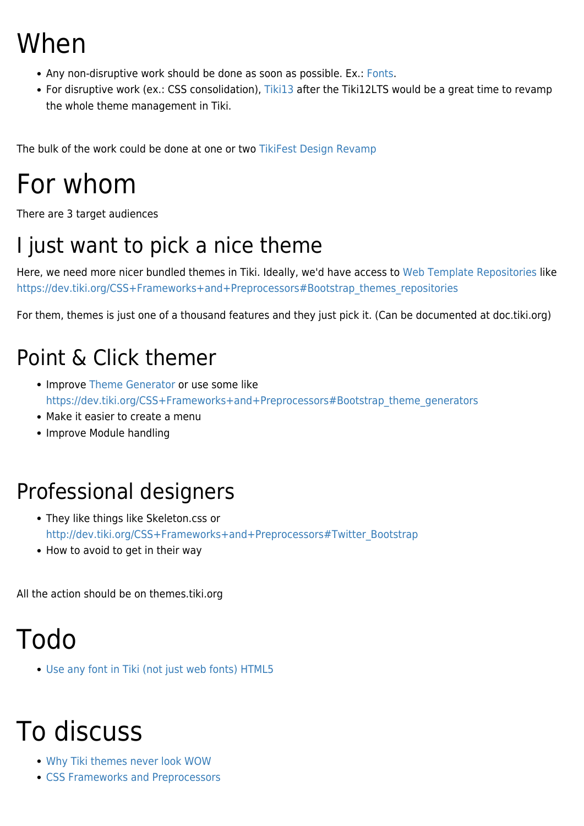## When

- Any non-disruptive work should be done as soon as possible. Ex.: [Fonts](https://themes.tiki.org/Fonts).
- For disruptive work (ex.: CSS consolidation), [Tiki13](http://doc.tiki.org/Tiki13) after the Tiki12LTS would be a great time to revamp the whole theme management in Tiki.

The bulk of the work could be done at one or two [TikiFest Design Revamp](http://tiki.org/TikiFest%20Design%20Revamp)

## For whom

There are 3 target audiences

### I just want to pick a nice theme

Here, we need more nicer bundled themes in Tiki. Ideally, we'd have access to [Web Template Repositories](https://themes.tiki.org/Web-Template-Repositories) like [https://dev.tiki.org/CSS+Frameworks+and+Preprocessors#Bootstrap\\_themes\\_repositories](https://dev.tiki.org/CSS+Frameworks+and+Preprocessors#Bootstrap_themes_repositories)

For them, themes is just one of a thousand features and they just pick it. (Can be documented at doc.tiki.org)

### Point & Click themer

- Improve [Theme Generator](http://doc.tiki.org/Theme%20Generator) or use some like [https://dev.tiki.org/CSS+Frameworks+and+Preprocessors#Bootstrap\\_theme\\_generators](https://dev.tiki.org/CSS+Frameworks+and+Preprocessors#Bootstrap_theme_generators)
- Make it easier to create a menu
- Improve Module handling

### Professional designers

- They like things like Skeleton.css or [http://dev.tiki.org/CSS+Frameworks+and+Preprocessors#Twitter\\_Bootstrap](http://dev.tiki.org/CSS+Frameworks+and+Preprocessors#Twitter_Bootstrap)
- How to avoid to get in their way

All the action should be on themes.tiki.org

## Todo

[Use any font in Tiki \(not just web fonts\) HTML5](http://dev.tiki.org/wish1582)

# To discuss

- [Why Tiki themes never look WOW](http://dev.tiki.org/Why%20Tiki%20themes%20never%20look%20WOW)
- [CSS Frameworks and Preprocessors](http://dev.tiki.org/CSS%20Frameworks%20and%20Preprocessors)